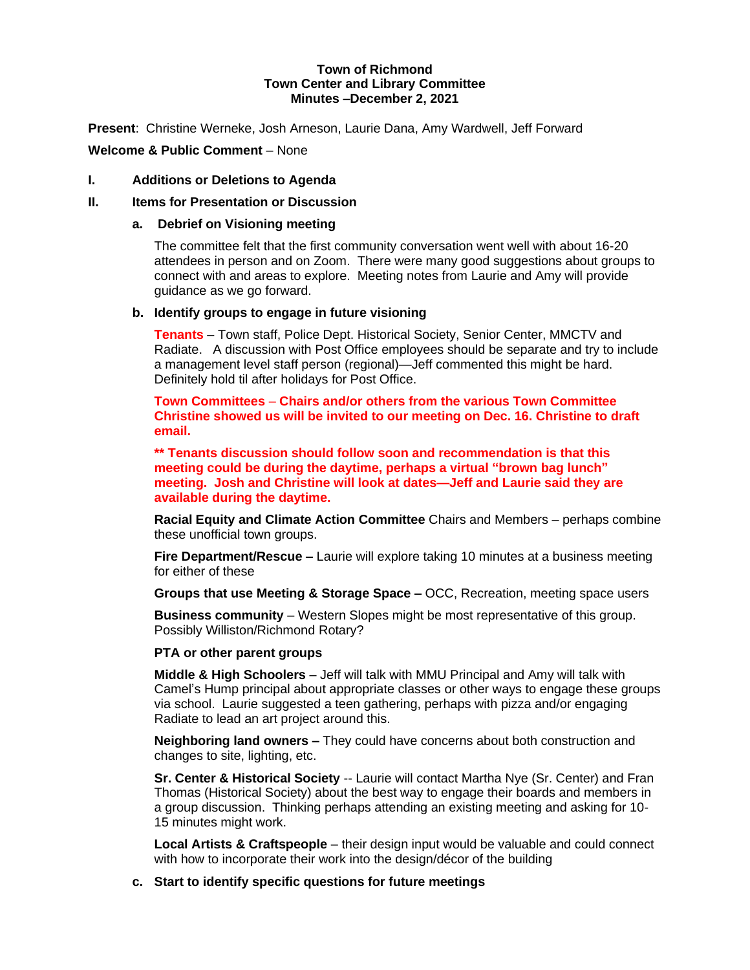## **Town of Richmond Town Center and Library Committee Minutes –December 2, 2021**

**Present**: Christine Werneke, Josh Arneson, Laurie Dana, Amy Wardwell, Jeff Forward

# **Welcome & Public Comment** – None

## **I. Additions or Deletions to Agenda**

## **II. Items for Presentation or Discussion**

#### **a. Debrief on Visioning meeting**

The committee felt that the first community conversation went well with about 16-20 attendees in person and on Zoom. There were many good suggestions about groups to connect with and areas to explore. Meeting notes from Laurie and Amy will provide guidance as we go forward.

#### **b. Identify groups to engage in future visioning**

**Tenants** – Town staff, Police Dept. Historical Society, Senior Center, MMCTV and Radiate. A discussion with Post Office employees should be separate and try to include a management level staff person (regional)—Jeff commented this might be hard. Definitely hold til after holidays for Post Office.

**Town Committees** – **Chairs and/or others from the various Town Committee Christine showed us will be invited to our meeting on Dec. 16. Christine to draft email.**

**\*\* Tenants discussion should follow soon and recommendation is that this meeting could be during the daytime, perhaps a virtual "brown bag lunch" meeting. Josh and Christine will look at dates—Jeff and Laurie said they are available during the daytime.**

**Racial Equity and Climate Action Committee** Chairs and Members – perhaps combine these unofficial town groups.

**Fire Department/Rescue –** Laurie will explore taking 10 minutes at a business meeting for either of these

**Groups that use Meeting & Storage Space –** OCC, Recreation, meeting space users

**Business community** – Western Slopes might be most representative of this group. Possibly Williston/Richmond Rotary?

## **PTA or other parent groups**

**Middle & High Schoolers** – Jeff will talk with MMU Principal and Amy will talk with Camel's Hump principal about appropriate classes or other ways to engage these groups via school. Laurie suggested a teen gathering, perhaps with pizza and/or engaging Radiate to lead an art project around this.

**Neighboring land owners –** They could have concerns about both construction and changes to site, lighting, etc.

**Sr. Center & Historical Society** -- Laurie will contact Martha Nye (Sr. Center) and Fran Thomas (Historical Society) about the best way to engage their boards and members in a group discussion. Thinking perhaps attending an existing meeting and asking for 10- 15 minutes might work.

**Local Artists & Craftspeople** – their design input would be valuable and could connect with how to incorporate their work into the design/décor of the building

## **c. Start to identify specific questions for future meetings**